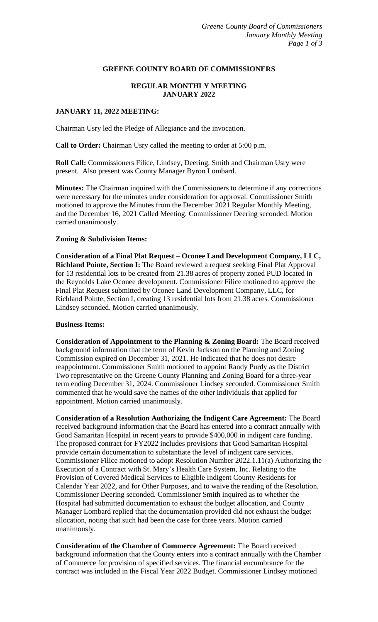### **GREENE COUNTY BOARD OF COMMISSIONERS**

# **REGULAR MONTHLY MEETING JANUARY 2022**

### **JANUARY 11, 2022 MEETING:**

Chairman Usry led the Pledge of Allegiance and the invocation.

**Call to Order:** Chairman Usry called the meeting to order at 5:00 p.m.

**Roll Call:** Commissioners Filice, Lindsey, Deering, Smith and Chairman Usry were present. Also present was County Manager Byron Lombard.

**Minutes:** The Chairman inquired with the Commissioners to determine if any corrections were necessary for the minutes under consideration for approval. Commissioner Smith motioned to approve the Minutes from the December 2021 Regular Monthly Meeting, and the December 16, 2021 Called Meeting. Commissioner Deering seconded. Motion carried unanimously.

### **Zoning & Subdivision Items:**

**Consideration of a Final Plat Request – Oconee Land Development Company, LLC, Richland Pointe, Section I:** The Board reviewed a request seeking Final Plat Approval for 13 residential lots to be created from 21.38 acres of property zoned PUD located in the Reynolds Lake Oconee development. Commissioner Filice motioned to approve the Final Plat Request submitted by Oconee Land Development Company, LLC, for Richland Pointe, Section I, creating 13 residential lots from 21.38 acres. Commissioner Lindsey seconded. Motion carried unanimously.

#### **Business Items:**

**Consideration of Appointment to the Planning & Zoning Board:** The Board received background information that the term of Kevin Jackson on the Planning and Zoning Commission expired on December 31, 2021. He indicated that he does not desire reappointment. Commissioner Smith motioned to appoint Randy Purdy as the District Two representative on the Greene County Planning and Zoning Board for a three-year term ending December 31, 2024. Commissioner Lindsey seconded. Commissioner Smith commented that he would save the names of the other individuals that applied for appointment. Motion carried unanimously.

**Consideration of a Resolution Authorizing the Indigent Care Agreement:** The Board received background information that the Board has entered into a contract annually with Good Samaritan Hospital in recent years to provide \$400,000 in indigent care funding. The proposed contract for FY2022 includes provisions that Good Samaritan Hospital provide certain documentation to substantiate the level of indigent care services. Commissioner Filice motioned to adopt Resolution Number 2022.1.11(a) Authorizing the Execution of a Contract with St. Mary's Health Care System, Inc. Relating to the Provision of Covered Medical Services to Eligible Indigent County Residents for Calendar Year 2022, and for Other Purposes, and to waive the reading of the Resolution. Commissioner Deering seconded. Commissioner Smith inquired as to whether the Hospital had submitted documentation to exhaust the budget allocation, and County Manager Lombard replied that the documentation provided did not exhaust the budget allocation, noting that such had been the case for three years. Motion carried unanimously.

**Consideration of the Chamber of Commerce Agreement:** The Board received background information that the County enters into a contract annually with the Chamber of Commerce for provision of specified services. The financial encumbrance for the contract was included in the Fiscal Year 2022 Budget. Commissioner Lindsey motioned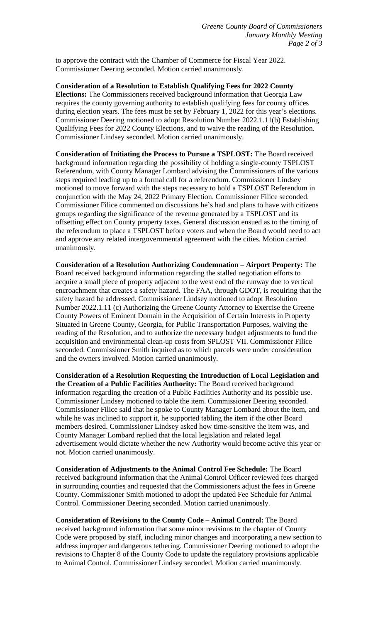to approve the contract with the Chamber of Commerce for Fiscal Year 2022. Commissioner Deering seconded. Motion carried unanimously.

**Consideration of a Resolution to Establish Qualifying Fees for 2022 County Elections:** The Commissioners received background information that Georgia Law requires the county governing authority to establish qualifying fees for county offices during election years. The fees must be set by February 1, 2022 for this year's elections. Commissioner Deering motioned to adopt Resolution Number 2022.1.11(b) Establishing Qualifying Fees for 2022 County Elections, and to waive the reading of the Resolution. Commissioner Lindsey seconded. Motion carried unanimously.

**Consideration of Initiating the Process to Pursue a TSPLOST:** The Board received background information regarding the possibility of holding a single-county TSPLOST Referendum, with County Manager Lombard advising the Commissioners of the various steps required leading up to a formal call for a referendum. Commissioner Lindsey motioned to move forward with the steps necessary to hold a TSPLOST Referendum in conjunction with the May 24, 2022 Primary Election. Commissioner Filice seconded. Commissioner Filice commented on discussions he's had and plans to have with citizens groups regarding the significance of the revenue generated by a TSPLOST and its offsetting effect on County property taxes. General discussion ensued as to the timing of the referendum to place a TSPLOST before voters and when the Board would need to act and approve any related intergovernmental agreement with the cities. Motion carried unanimously.

**Consideration of a Resolution Authorizing Condemnation – Airport Property:** The Board received background information regarding the stalled negotiation efforts to acquire a small piece of property adjacent to the west end of the runway due to vertical encroachment that creates a safety hazard. The FAA, through GDOT, is requiring that the safety hazard be addressed. Commissioner Lindsey motioned to adopt Resolution Number 2022.1.11 (c) Authorizing the Greene County Attorney to Exercise the Greene County Powers of Eminent Domain in the Acquisition of Certain Interests in Property Situated in Greene County, Georgia, for Public Transportation Purposes, waiving the reading of the Resolution, and to authorize the necessary budget adjustments to fund the acquisition and environmental clean-up costs from SPLOST VII. Commissioner Filice seconded. Commissioner Smith inquired as to which parcels were under consideration and the owners involved. Motion carried unanimously.

**Consideration of a Resolution Requesting the Introduction of Local Legislation and the Creation of a Public Facilities Authority:** The Board received background information regarding the creation of a Public Facilities Authority and its possible use. Commissioner Lindsey motioned to table the item. Commissioner Deering seconded. Commissioner Filice said that he spoke to County Manager Lombard about the item, and while he was inclined to support it, he supported tabling the item if the other Board members desired. Commissioner Lindsey asked how time-sensitive the item was, and County Manager Lombard replied that the local legislation and related legal advertisement would dictate whether the new Authority would become active this year or not. Motion carried unanimously.

**Consideration of Adjustments to the Animal Control Fee Schedule:** The Board received background information that the Animal Control Officer reviewed fees charged in surrounding counties and requested that the Commissioners adjust the fees in Greene County. Commissioner Smith motioned to adopt the updated Fee Schedule for Animal Control. Commissioner Deering seconded. Motion carried unanimously.

**Consideration of Revisions to the County Code – Animal Control:** The Board received background information that some minor revisions to the chapter of County Code were proposed by staff, including minor changes and incorporating a new section to address improper and dangerous tethering. Commissioner Deering motioned to adopt the revisions to Chapter 8 of the County Code to update the regulatory provisions applicable to Animal Control. Commissioner Lindsey seconded. Motion carried unanimously.